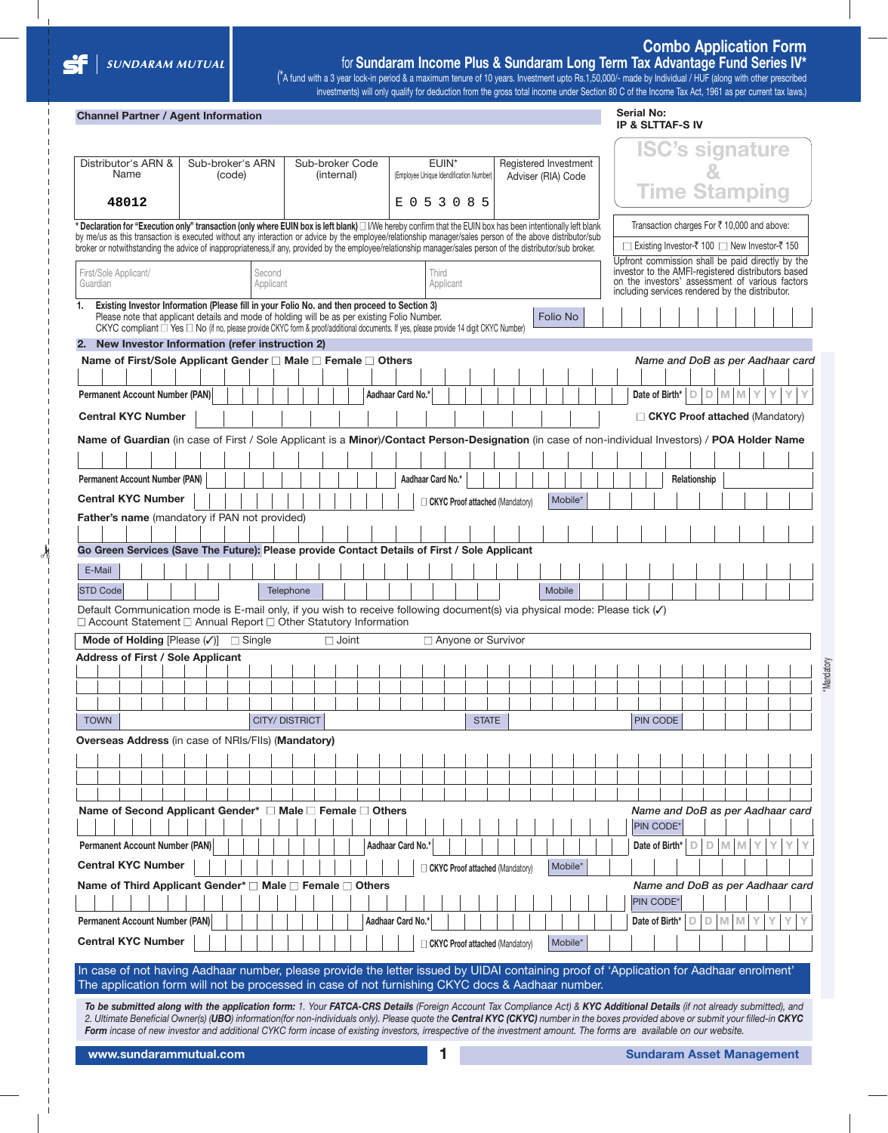**✁**

### **Combo Application Form** for **Sundaram Income Plus & Sundaram Long Term Tax Advantage Fund Series IV\***

(\*A fund with a 3 year lock-in period & a maximum tenure of 10 years. Investment upto Rs.1,50,000/- made by Individual / HUF (along with other prescribed investments) will only qualify for deduction from the gross total income under Section 80 C of the Income Tax Act, 1961 as per current tax laws.)

### **Channel Partner / Agent Information**

| Distributor's ARN &<br>Sub-broker's ARN<br>Name<br>(code)<br>48012<br>Declaration for "Execution only" transaction (only where EUIN box is left blank) $\Box$ I/We hereby confirm that the EUIN box has been intentionally left blank<br>by me/us as this transaction is executed without any interaction or advice by the employee/relationship manager/sales person of the above distributor/sub<br>broker or notwithstanding the advice of inappropriateness, if any, provided by the employee/relationship manager/sales person of the distributor/sub broker.<br>First/Sole Applicant/<br>Guardian<br>Existing Investor Information (Please fill in your Folio No. and then proceed to Section 3)<br>1.<br>Please note that applicant details and mode of holding will be as per existing Folio Number.<br>CKYC compliant $\Box$ Yes $\Box$ No (if no, please provide CKYC form & proof/additional documents. If yes, please provide 14 digit CKYC Number) |                     |                      | (internal) | Sub-broker Code |                   | (Employee Unique Idendification Number) |                   | EUIN*     |                                 |  |                    | Registered Investment |  |                |              |       |     | <b>ISC's signature</b>                                                                                                                                   |  |
|-----------------------------------------------------------------------------------------------------------------------------------------------------------------------------------------------------------------------------------------------------------------------------------------------------------------------------------------------------------------------------------------------------------------------------------------------------------------------------------------------------------------------------------------------------------------------------------------------------------------------------------------------------------------------------------------------------------------------------------------------------------------------------------------------------------------------------------------------------------------------------------------------------------------------------------------------------------------|---------------------|----------------------|------------|-----------------|-------------------|-----------------------------------------|-------------------|-----------|---------------------------------|--|--------------------|-----------------------|--|----------------|--------------|-------|-----|----------------------------------------------------------------------------------------------------------------------------------------------------------|--|
|                                                                                                                                                                                                                                                                                                                                                                                                                                                                                                                                                                                                                                                                                                                                                                                                                                                                                                                                                                 |                     |                      |            |                 |                   |                                         |                   |           |                                 |  |                    |                       |  |                |              |       |     |                                                                                                                                                          |  |
|                                                                                                                                                                                                                                                                                                                                                                                                                                                                                                                                                                                                                                                                                                                                                                                                                                                                                                                                                                 |                     |                      |            |                 |                   |                                         |                   |           |                                 |  | Adviser (RIA) Code |                       |  |                |              |       |     |                                                                                                                                                          |  |
|                                                                                                                                                                                                                                                                                                                                                                                                                                                                                                                                                                                                                                                                                                                                                                                                                                                                                                                                                                 |                     |                      |            |                 |                   |                                         | E 0 5 3 0 8 5     |           |                                 |  |                    |                       |  |                |              |       |     | <b>Time Stamping</b>                                                                                                                                     |  |
|                                                                                                                                                                                                                                                                                                                                                                                                                                                                                                                                                                                                                                                                                                                                                                                                                                                                                                                                                                 |                     |                      |            |                 |                   |                                         |                   |           |                                 |  |                    |                       |  |                |              |       |     | Transaction charges For ₹10,000 and above:<br>□ Existing Investor-₹ 100 □ New Investor-₹ 150                                                             |  |
|                                                                                                                                                                                                                                                                                                                                                                                                                                                                                                                                                                                                                                                                                                                                                                                                                                                                                                                                                                 |                     |                      |            |                 |                   |                                         |                   |           |                                 |  |                    |                       |  |                |              |       |     | Upfront commission shall be paid directly by the                                                                                                         |  |
|                                                                                                                                                                                                                                                                                                                                                                                                                                                                                                                                                                                                                                                                                                                                                                                                                                                                                                                                                                 | Second<br>Applicant |                      |            |                 |                   |                                         | Third             | Applicant |                                 |  |                    |                       |  |                |              |       |     | investor to the AMFI-registered distributors based<br>on the investors' assessment of various factors<br>including services rendered by the distributor. |  |
|                                                                                                                                                                                                                                                                                                                                                                                                                                                                                                                                                                                                                                                                                                                                                                                                                                                                                                                                                                 |                     |                      |            |                 |                   |                                         |                   |           |                                 |  | <b>Folio No</b>    |                       |  |                |              |       |     |                                                                                                                                                          |  |
| 2. New Investor Information (refer instruction 2)                                                                                                                                                                                                                                                                                                                                                                                                                                                                                                                                                                                                                                                                                                                                                                                                                                                                                                               |                     |                      |            |                 |                   |                                         |                   |           |                                 |  |                    |                       |  |                |              |       |     |                                                                                                                                                          |  |
| Name of First/Sole Applicant Gender □ Male □ Female □ Others                                                                                                                                                                                                                                                                                                                                                                                                                                                                                                                                                                                                                                                                                                                                                                                                                                                                                                    |                     |                      |            |                 |                   |                                         |                   |           |                                 |  |                    |                       |  |                |              |       |     | Name and DoB as per Aadhaar card                                                                                                                         |  |
|                                                                                                                                                                                                                                                                                                                                                                                                                                                                                                                                                                                                                                                                                                                                                                                                                                                                                                                                                                 |                     |                      |            |                 |                   |                                         |                   |           |                                 |  |                    |                       |  |                |              |       |     |                                                                                                                                                          |  |
| <b>Permanent Account Number (PAN)</b>                                                                                                                                                                                                                                                                                                                                                                                                                                                                                                                                                                                                                                                                                                                                                                                                                                                                                                                           |                     |                      |            |                 | Aadhaar Card No.* |                                         |                   |           |                                 |  |                    |                       |  | Date of Birth* | D<br>D       | M     | M   | Υ                                                                                                                                                        |  |
| <b>Central KYC Number</b>                                                                                                                                                                                                                                                                                                                                                                                                                                                                                                                                                                                                                                                                                                                                                                                                                                                                                                                                       |                     |                      |            |                 |                   |                                         |                   |           |                                 |  |                    |                       |  |                |              |       |     | $\Box$ CKYC Proof attached (Mandatory)                                                                                                                   |  |
|                                                                                                                                                                                                                                                                                                                                                                                                                                                                                                                                                                                                                                                                                                                                                                                                                                                                                                                                                                 |                     |                      |            |                 |                   |                                         |                   |           |                                 |  |                    |                       |  |                |              |       |     |                                                                                                                                                          |  |
| Name of Guardian (in case of First / Sole Applicant is a Minor)/Contact Person-Designation (in case of non-individual Investors) / POA Holder Name                                                                                                                                                                                                                                                                                                                                                                                                                                                                                                                                                                                                                                                                                                                                                                                                              |                     |                      |            |                 |                   |                                         |                   |           |                                 |  |                    |                       |  |                |              |       |     |                                                                                                                                                          |  |
|                                                                                                                                                                                                                                                                                                                                                                                                                                                                                                                                                                                                                                                                                                                                                                                                                                                                                                                                                                 |                     |                      |            |                 |                   |                                         |                   |           |                                 |  |                    |                       |  |                |              |       |     |                                                                                                                                                          |  |
| <b>Permanent Account Number (PAN)</b>                                                                                                                                                                                                                                                                                                                                                                                                                                                                                                                                                                                                                                                                                                                                                                                                                                                                                                                           |                     |                      |            |                 |                   |                                         | Aadhaar Card No.* |           |                                 |  |                    |                       |  |                | Relationship |       |     |                                                                                                                                                          |  |
| <b>Central KYC Number</b>                                                                                                                                                                                                                                                                                                                                                                                                                                                                                                                                                                                                                                                                                                                                                                                                                                                                                                                                       |                     |                      |            |                 |                   |                                         |                   |           |                                 |  |                    | Mobile*               |  |                |              |       |     |                                                                                                                                                          |  |
|                                                                                                                                                                                                                                                                                                                                                                                                                                                                                                                                                                                                                                                                                                                                                                                                                                                                                                                                                                 |                     |                      |            |                 |                   |                                         |                   |           | CKYC Proof attached (Mandatory) |  |                    |                       |  |                |              |       |     |                                                                                                                                                          |  |
| Father's name (mandatory if PAN not provided)                                                                                                                                                                                                                                                                                                                                                                                                                                                                                                                                                                                                                                                                                                                                                                                                                                                                                                                   |                     |                      |            |                 |                   |                                         |                   |           |                                 |  |                    |                       |  |                |              |       |     |                                                                                                                                                          |  |
| Go Green Services (Save The Future): Please provide Contact Details of First / Sole Applicant                                                                                                                                                                                                                                                                                                                                                                                                                                                                                                                                                                                                                                                                                                                                                                                                                                                                   |                     |                      |            |                 |                   |                                         |                   |           |                                 |  |                    |                       |  |                |              |       |     |                                                                                                                                                          |  |
|                                                                                                                                                                                                                                                                                                                                                                                                                                                                                                                                                                                                                                                                                                                                                                                                                                                                                                                                                                 |                     |                      |            |                 |                   |                                         |                   |           |                                 |  |                    |                       |  |                |              |       |     |                                                                                                                                                          |  |
| E-Mail                                                                                                                                                                                                                                                                                                                                                                                                                                                                                                                                                                                                                                                                                                                                                                                                                                                                                                                                                          |                     |                      |            |                 |                   |                                         |                   |           |                                 |  |                    |                       |  |                |              |       |     |                                                                                                                                                          |  |
| <b>STD Code</b>                                                                                                                                                                                                                                                                                                                                                                                                                                                                                                                                                                                                                                                                                                                                                                                                                                                                                                                                                 |                     | Telephone            |            |                 |                   |                                         |                   |           |                                 |  | Mobile             |                       |  |                |              |       |     |                                                                                                                                                          |  |
| Default Communication mode is E-mail only, if you wish to receive following document(s) via physical mode: Please tick (v)<br>□ Account Statement □ Annual Report □ Other Statutory Information                                                                                                                                                                                                                                                                                                                                                                                                                                                                                                                                                                                                                                                                                                                                                                 |                     |                      |            |                 |                   |                                         |                   |           |                                 |  |                    |                       |  |                |              |       |     |                                                                                                                                                          |  |
| Mode of Holding [Please $(\checkmark)$ ] $\Box$ Single                                                                                                                                                                                                                                                                                                                                                                                                                                                                                                                                                                                                                                                                                                                                                                                                                                                                                                          |                     |                      |            | $\Box$ Joint    |                   |                                         |                   |           | □ Anyone or Survivor            |  |                    |                       |  |                |              |       |     |                                                                                                                                                          |  |
| <b>Address of First / Sole Applicant</b>                                                                                                                                                                                                                                                                                                                                                                                                                                                                                                                                                                                                                                                                                                                                                                                                                                                                                                                        |                     |                      |            |                 |                   |                                         |                   |           |                                 |  |                    |                       |  |                |              |       |     |                                                                                                                                                          |  |
|                                                                                                                                                                                                                                                                                                                                                                                                                                                                                                                                                                                                                                                                                                                                                                                                                                                                                                                                                                 |                     |                      |            |                 |                   |                                         |                   |           |                                 |  |                    |                       |  |                |              |       |     |                                                                                                                                                          |  |
|                                                                                                                                                                                                                                                                                                                                                                                                                                                                                                                                                                                                                                                                                                                                                                                                                                                                                                                                                                 |                     |                      |            |                 |                   |                                         |                   |           |                                 |  |                    |                       |  |                |              |       |     |                                                                                                                                                          |  |
|                                                                                                                                                                                                                                                                                                                                                                                                                                                                                                                                                                                                                                                                                                                                                                                                                                                                                                                                                                 |                     |                      |            |                 |                   |                                         |                   |           |                                 |  |                    |                       |  |                |              |       |     |                                                                                                                                                          |  |
| <b>TOWN</b>                                                                                                                                                                                                                                                                                                                                                                                                                                                                                                                                                                                                                                                                                                                                                                                                                                                                                                                                                     |                     | <b>CITY/DISTRICT</b> |            |                 |                   |                                         |                   |           | <b>STATE</b>                    |  |                    |                       |  | PIN CODE       |              |       |     |                                                                                                                                                          |  |
| Overseas Address (in case of NRIs/FIIs) (Mandatory)                                                                                                                                                                                                                                                                                                                                                                                                                                                                                                                                                                                                                                                                                                                                                                                                                                                                                                             |                     |                      |            |                 |                   |                                         |                   |           |                                 |  |                    |                       |  |                |              |       |     |                                                                                                                                                          |  |
|                                                                                                                                                                                                                                                                                                                                                                                                                                                                                                                                                                                                                                                                                                                                                                                                                                                                                                                                                                 |                     |                      |            |                 |                   |                                         |                   |           |                                 |  |                    |                       |  |                |              |       |     |                                                                                                                                                          |  |
|                                                                                                                                                                                                                                                                                                                                                                                                                                                                                                                                                                                                                                                                                                                                                                                                                                                                                                                                                                 |                     |                      |            |                 |                   |                                         |                   |           |                                 |  |                    |                       |  |                |              |       |     |                                                                                                                                                          |  |
|                                                                                                                                                                                                                                                                                                                                                                                                                                                                                                                                                                                                                                                                                                                                                                                                                                                                                                                                                                 |                     |                      |            |                 |                   |                                         |                   |           |                                 |  |                    |                       |  |                |              |       |     |                                                                                                                                                          |  |
| Name of Second Applicant Gender* □ Male □ Female □ Others                                                                                                                                                                                                                                                                                                                                                                                                                                                                                                                                                                                                                                                                                                                                                                                                                                                                                                       |                     |                      |            |                 |                   |                                         |                   |           |                                 |  |                    |                       |  |                |              |       |     | Name and DoB as per Aadhaar card                                                                                                                         |  |
|                                                                                                                                                                                                                                                                                                                                                                                                                                                                                                                                                                                                                                                                                                                                                                                                                                                                                                                                                                 |                     |                      |            |                 |                   |                                         |                   |           |                                 |  |                    |                       |  | PIN CODE*      |              |       |     |                                                                                                                                                          |  |
| Permanent Account Number (PAN)                                                                                                                                                                                                                                                                                                                                                                                                                                                                                                                                                                                                                                                                                                                                                                                                                                                                                                                                  |                     |                      |            |                 |                   |                                         |                   |           |                                 |  |                    |                       |  |                | D<br>D.      |       | M M |                                                                                                                                                          |  |
|                                                                                                                                                                                                                                                                                                                                                                                                                                                                                                                                                                                                                                                                                                                                                                                                                                                                                                                                                                 |                     |                      |            |                 | Aadhaar Card No.* |                                         |                   |           |                                 |  |                    |                       |  | Date of Birth* |              |       |     |                                                                                                                                                          |  |
| <b>Central KYC Number</b>                                                                                                                                                                                                                                                                                                                                                                                                                                                                                                                                                                                                                                                                                                                                                                                                                                                                                                                                       |                     |                      |            |                 |                   |                                         |                   |           | CKYC Proof attached (Mandatory) |  |                    | Mobile*               |  |                |              |       |     |                                                                                                                                                          |  |
| Name of Third Applicant Gender* □ Male □ Female □ Others                                                                                                                                                                                                                                                                                                                                                                                                                                                                                                                                                                                                                                                                                                                                                                                                                                                                                                        |                     |                      |            |                 |                   |                                         |                   |           |                                 |  |                    |                       |  |                |              |       |     | Name and DoB as per Aadhaar card                                                                                                                         |  |
|                                                                                                                                                                                                                                                                                                                                                                                                                                                                                                                                                                                                                                                                                                                                                                                                                                                                                                                                                                 |                     |                      |            |                 |                   |                                         |                   |           |                                 |  |                    |                       |  | PIN CODE*      |              |       |     |                                                                                                                                                          |  |
| <b>Permanent Account Number (PAN)</b>                                                                                                                                                                                                                                                                                                                                                                                                                                                                                                                                                                                                                                                                                                                                                                                                                                                                                                                           |                     |                      |            |                 | Aadhaar Card No.* |                                         |                   |           |                                 |  |                    |                       |  | Date of Birth* | D            | $D$ M | M   | Y                                                                                                                                                        |  |
|                                                                                                                                                                                                                                                                                                                                                                                                                                                                                                                                                                                                                                                                                                                                                                                                                                                                                                                                                                 |                     |                      |            |                 |                   |                                         |                   |           |                                 |  |                    |                       |  |                |              |       |     |                                                                                                                                                          |  |
| <b>Central KYC Number</b>                                                                                                                                                                                                                                                                                                                                                                                                                                                                                                                                                                                                                                                                                                                                                                                                                                                                                                                                       |                     |                      |            |                 |                   |                                         |                   |           | CKYC Proof attached (Mandatory) |  |                    | Mobile*               |  |                |              |       |     |                                                                                                                                                          |  |
| In case of not having Aadhaar number, please provide the letter issued by UIDAI containing proof of 'Application for Aadhaar enrolment'                                                                                                                                                                                                                                                                                                                                                                                                                                                                                                                                                                                                                                                                                                                                                                                                                         |                     |                      |            |                 |                   |                                         |                   |           |                                 |  |                    |                       |  |                |              |       |     |                                                                                                                                                          |  |
|                                                                                                                                                                                                                                                                                                                                                                                                                                                                                                                                                                                                                                                                                                                                                                                                                                                                                                                                                                 |                     |                      |            |                 |                   |                                         |                   |           |                                 |  |                    |                       |  |                |              |       |     |                                                                                                                                                          |  |
|                                                                                                                                                                                                                                                                                                                                                                                                                                                                                                                                                                                                                                                                                                                                                                                                                                                                                                                                                                 |                     |                      |            |                 |                   |                                         |                   |           |                                 |  |                    |                       |  |                |              |       |     |                                                                                                                                                          |  |
| The application form will not be processed in case of not furnishing CKYC docs & Aadhaar number.<br>To be submitted along with the application form: 1. Your FATCA-CRS Details (Foreign Account Tax Compliance Act) & KYC Additional Details (if not already submitted), and                                                                                                                                                                                                                                                                                                                                                                                                                                                                                                                                                                                                                                                                                    |                     |                      |            |                 |                   |                                         |                   |           |                                 |  |                    |                       |  |                |              |       |     |                                                                                                                                                          |  |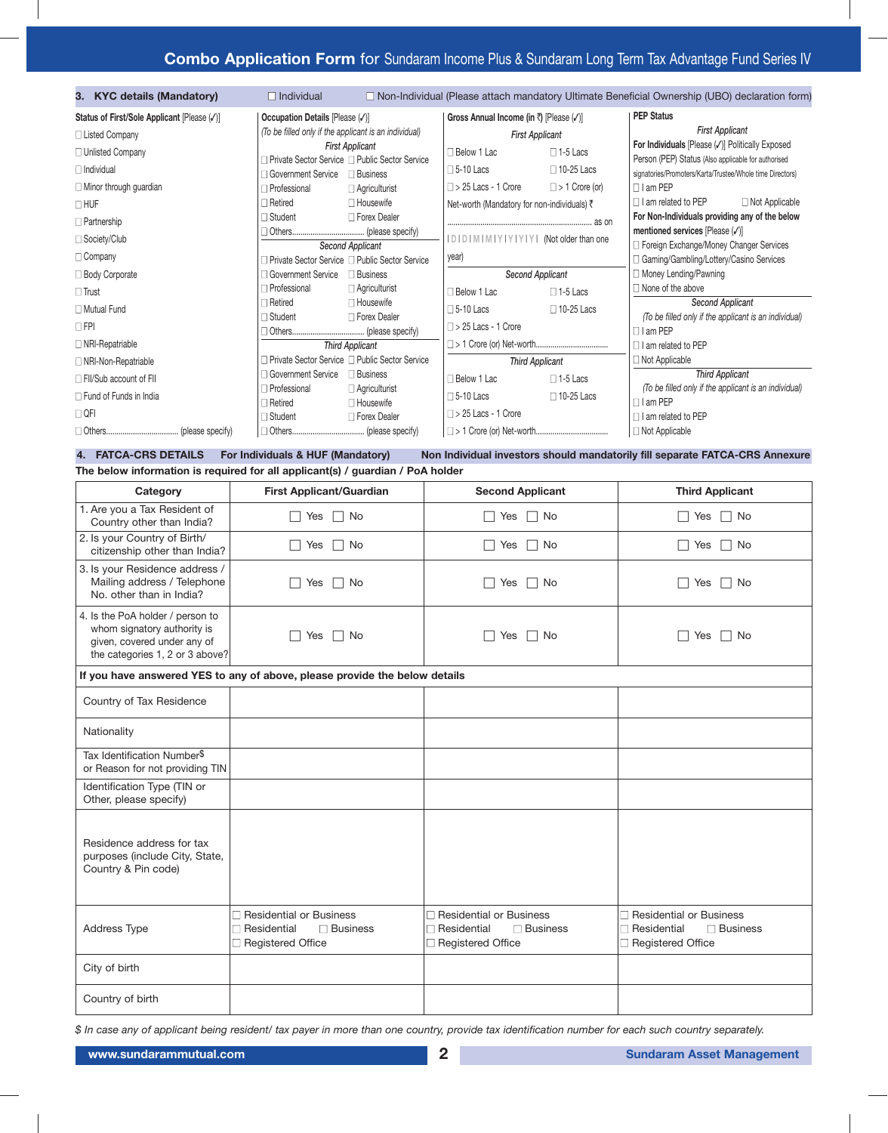# **Combo Application Form** for Sundaram Income Plus & Sundaram Long Term Tax Advantage Fund Series IV

| 3. KYC details (Mandatory)                  | $\Box$ Individual                                     |                                                                            |                                             |                       | $\Box$ Non-Individual (Please attach mandatory Ultimate Beneficial Ownership (UBO) declaration form)    |
|---------------------------------------------|-------------------------------------------------------|----------------------------------------------------------------------------|---------------------------------------------|-----------------------|---------------------------------------------------------------------------------------------------------|
| Status of First/Sole Applicant [Please (/)] | Occupation Details [Please (V)]                       |                                                                            | Gross Annual Income (in ₹) [Please (√)]     |                       | <b>PEP Status</b>                                                                                       |
| □ Listed Company                            | (To be filled only if the applicant is an individual) |                                                                            | <b>First Applicant</b>                      |                       | <b>First Applicant</b>                                                                                  |
| $\Box$ Unlisted Company                     |                                                       | <b>First Applicant</b><br>□ Private Sector Service □ Public Sector Service | □ Below 1 Lac                               | $\Box$ 1-5 Lacs       | For Individuals [Please (V)] Politically Exposed<br>Person (PEP) Status (Also applicable for authorised |
| $\Box$ Individual                           | □ Government Service                                  | $\Box$ Business                                                            | $\square$ 5-10 Lacs                         | $\square$ 10-25 Lacs  | signatories/Promoters/Karta/Trustee/Whole time Directors)                                               |
| $\Box$ Minor through guardian               | $\Box$ Professional                                   | $\Box$ Agriculturist                                                       | $\Box$ > 25 Lacs - 1 Crore                  | $\Box$ > 1 Crore (or) | $\Box$ I am PEP                                                                                         |
| $\Box$ HUF                                  | $\Box$ Retired                                        | $\Box$ Housewife                                                           | Net-worth (Mandatory for non-individuals) ₹ |                       | $\Box$ I am related to PEP<br>$\Box$ Not Applicable                                                     |
| $\Box$ Partnership                          | □ Student                                             | □ Forex Dealer                                                             |                                             |                       | For Non-Individuals providing any of the below                                                          |
| □ Society/Club                              |                                                       | Second Applicant                                                           | IDIDIMIMIYIYIYIYI (Not older than one       |                       | mentioned services [Please (v)]<br>□ Foreign Exchange/Money Changer Services                            |
| $\Box$ Company                              |                                                       | □ Private Sector Service □ Public Sector Service                           | year)                                       |                       | □ Gaming/Gambling/Lottery/Casino Services                                                               |
| □ Body Corporate                            | □ Government Service                                  | $\Box$ Business                                                            | Second Applicant                            |                       | □ Money Lending/Pawning                                                                                 |
| $\Box$ Trust                                | $\Box$ Professional                                   | $\Box$ Agriculturist                                                       | □ Below 1 Lac                               | $\Box$ 1-5 Lacs       | $\Box$ None of the above                                                                                |
| □ Mutual Fund                               | $\Box$ Retired                                        | $\Box$ Housewife                                                           | $\square$ 5-10 Lacs                         | $\Box$ 10-25 Lacs     | <b>Second Applicant</b>                                                                                 |
| $\Box$ FPI                                  | $\Box$ Student                                        | □ Forex Dealer                                                             | $\Box$ > 25 Lacs - 1 Crore                  |                       | (To be filled only if the applicant is an individual)<br>$\Box$ I am PEP                                |
| $\Box$ NRI-Repatriable                      |                                                       | <b>Third Applicant</b>                                                     |                                             |                       | $\Box$ I am related to PEP                                                                              |
| □ NRI-Non-Repatriable                       |                                                       | □ Private Sector Service □ Public Sector Service                           | <b>Third Applicant</b>                      |                       | $\Box$ Not Applicable                                                                                   |
| $\Box$ FII/Sub account of FII               | □ Government Service                                  | $\Box$ Business                                                            | □ Below 1 Lac                               | $\Box$ 1-5 Lacs       | <b>Third Applicant</b>                                                                                  |
| $\Box$ Fund of Funds in India               | $\Box$ Professional<br>$\Box$ Retired                 | $\Box$ Agriculturist<br>$\Box$ Housewife                                   | $\Box$ 5-10 Lacs                            | $\Box$ 10-25 Lacs     | (To be filled only if the applicant is an individual)<br>$\Box$ I am PEP                                |
| $\Box$ QFI                                  | $\Box$ Student                                        | □ Forex Dealer                                                             | $\Box$ > 25 Lacs - 1 Crore                  |                       | $\Box$ I am related to PEP                                                                              |
|                                             |                                                       |                                                                            |                                             |                       | $\Box$ Not Applicable                                                                                   |

**The below information is required for all applicant(s) / guardian / PoA holder**

4. FATCA-CRS DETAILS For Individuals & HUF (Mandatory) Non Individual investors should mandatorily fill separate FATCA-CRS Annexure

| Category                                                                                                                          | <b>First Applicant/Guardian</b>                                                                     | <b>Second Applicant</b>                                                                        | <b>Third Applicant</b>                                                                         |
|-----------------------------------------------------------------------------------------------------------------------------------|-----------------------------------------------------------------------------------------------------|------------------------------------------------------------------------------------------------|------------------------------------------------------------------------------------------------|
| 1. Are you a Tax Resident of<br>Country other than India?                                                                         | $\Box$ No<br>Yes<br>$\overline{\phantom{a}}$                                                        | $\Box$ No<br>Yes                                                                               | $\Box$ No<br>Yes                                                                               |
| 2. Is your Country of Birth/<br>citizenship other than India?                                                                     | $\Box$ No<br>Yes<br>$\Box$                                                                          | $\Box$ No<br>□ Yes                                                                             | $\Box$ Yes<br>$\Box$ No                                                                        |
| 3. Is your Residence address /<br>Mailing address / Telephone<br>No. other than in India?                                         | No<br>Yes                                                                                           | No<br>Yes<br>$\mathsf{L}$                                                                      | ∩ No<br>Yes                                                                                    |
| 4. Is the PoA holder / person to<br>whom signatory authority is<br>given, covered under any of<br>the categories 1, 2 or 3 above? | Yes<br>$\Box$ No                                                                                    | $\Box$ No<br>Yes                                                                               | $\Box$ No<br>Yes                                                                               |
|                                                                                                                                   | If you have answered YES to any of above, please provide the below details                          |                                                                                                |                                                                                                |
| Country of Tax Residence                                                                                                          |                                                                                                     |                                                                                                |                                                                                                |
| Nationality                                                                                                                       |                                                                                                     |                                                                                                |                                                                                                |
| Tax Identification Number <sup>\$</sup><br>or Reason for not providing TIN                                                        |                                                                                                     |                                                                                                |                                                                                                |
| Identification Type (TIN or<br>Other, please specify)                                                                             |                                                                                                     |                                                                                                |                                                                                                |
| Residence address for tax<br>purposes (include City, State,<br>Country & Pin code)                                                |                                                                                                     |                                                                                                |                                                                                                |
| Address Type                                                                                                                      | $\Box$ Residential or Business<br>$\Box$ Residential<br>$\Box$ Business<br>$\Box$ Registered Office | □ Residential or Business<br>$\Box$ Business<br>$\Box$ Residential<br>$\Box$ Registered Office | □ Residential or Business<br>$\Box$ Residential<br>$\Box$ Business<br>$\Box$ Registered Office |
| City of birth                                                                                                                     |                                                                                                     |                                                                                                |                                                                                                |
| Country of birth                                                                                                                  |                                                                                                     |                                                                                                |                                                                                                |

\$ In case any of applicant being resident/ tax payer in more than one country, provide tax identification number for each such country separately.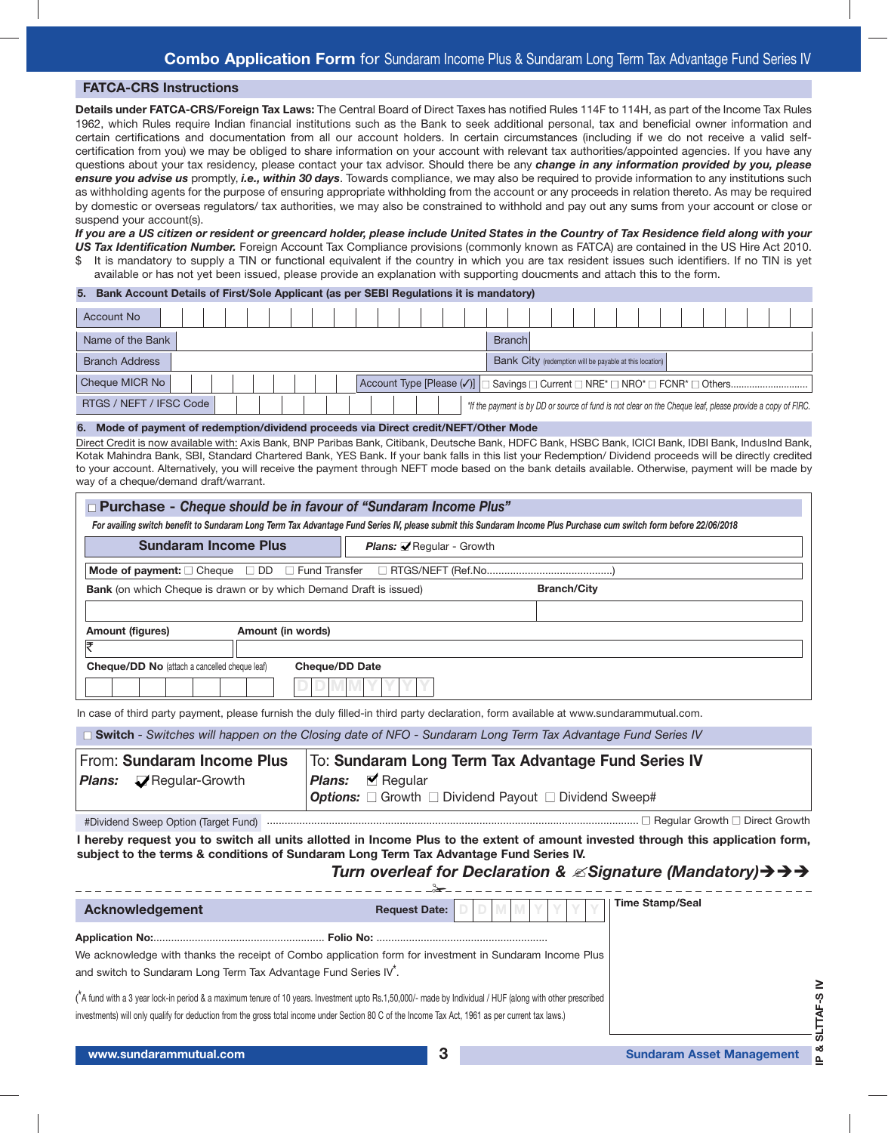### **FATCA-CRS Instructions**

**Details under FATCA-CRS/Foreign Tax Laws:** The Central Board of Direct Taxes has notified Rules 114F to 114H, as part of the Income Tax Rules 1962, which Rules require Indian financial institutions such as the Bank to seek additional personal, tax and beneficial owner information and certain certifications and documentation from all our account holders. In certain circumstances (including if we do not receive a valid selfcertification from you) we may be obliged to share information on your account with relevant tax authorities/appointed agencies. If you have any questions about your tax residency, please contact your tax advisor. Should there be any *change in any information provided by you, please ensure you advise us* promptly, *i.e., within 30 days*. Towards compliance, we may also be required to provide information to any institutions such as withholding agents for the purpose of ensuring appropriate withholding from the account or any proceeds in relation thereto. As may be required by domestic or overseas regulators/ tax authorities, we may also be constrained to withhold and pay out any sums from your account or close or suspend your account(s).

If you are a US citizen or resident or greencard holder, please include United States in the Country of Tax Residence field along with your *US Tax Identification Number.* Foreign Account Tax Compliance provisions (commonly known as FATCA) are contained in the US Hire Act 2010. \$ It is mandatory to supply a TIN or functional equivalent if the country in which you are tax resident issues such identifiers. If no TIN is yet available or has not yet been issued, please provide an explanation with supporting doucments and attach this to the form.

| <b>Account No</b>                                                                                                                     |  |
|---------------------------------------------------------------------------------------------------------------------------------------|--|
| Name of the Bank<br><b>Branch</b>                                                                                                     |  |
| Bank City (redemption will be payable at this location)<br><b>Branch Address</b>                                                      |  |
| Cheque MICR No                                                                                                                        |  |
| RTGS / NEFT / IFSC Code<br>*If the payment is by DD or source of fund is not clear on the Cheque leaf, please provide a copy of FIRC. |  |

#### **6. Mode of payment of redemption/dividend proceeds via Direct credit/NEFT/Other Mode**

Direct Credit is now available with: Axis Bank, BNP Paribas Bank, Citibank, Deutsche Bank, HDFC Bank, HSBC Bank, ICICI Bank, IDBI Bank, IndusInd Bank, Kotak Mahindra Bank, SBI, Standard Chartered Bank, YES Bank. If your bank falls in this list your Redemption/ Dividend proceeds will be directly credited to your account. Alternatively, you will receive the payment through NEFT mode based on the bank details available. Otherwise, payment will be made by way of a cheque/demand draft/warrant.

| □ Purchase - Cheque should be in favour of "Sundaram Income Plus"                                                                                                  |                                                                                                 |  |  |  |  |  |
|--------------------------------------------------------------------------------------------------------------------------------------------------------------------|-------------------------------------------------------------------------------------------------|--|--|--|--|--|
| For availing switch benefit to Sundaram Long Term Tax Advantage Fund Series IV, please submit this Sundaram Income Plus Purchase cum switch form before 22/06/2018 |                                                                                                 |  |  |  |  |  |
| <b>Sundaram Income Plus</b><br><b>Plans:</b> $\mathbf{Q}$ Regular - Growth                                                                                         |                                                                                                 |  |  |  |  |  |
|                                                                                                                                                                    |                                                                                                 |  |  |  |  |  |
|                                                                                                                                                                    | <b>Bank</b> (on which Cheque is drawn or by which Demand Draft is issued)<br><b>Branch/City</b> |  |  |  |  |  |
|                                                                                                                                                                    |                                                                                                 |  |  |  |  |  |
| Amount (in words)<br><b>Amount (figures)</b>                                                                                                                       |                                                                                                 |  |  |  |  |  |
| ₹                                                                                                                                                                  |                                                                                                 |  |  |  |  |  |
| <b>Cheque/DD No</b> (attach a cancelled cheque leaf)<br><b>Cheque/DD Date</b>                                                                                      |                                                                                                 |  |  |  |  |  |
|                                                                                                                                                                    |                                                                                                 |  |  |  |  |  |

In case of third party payment, please furnish the duly filled-in third party declaration, form available at www.sundarammutual.com.

| □ Switch - Switches will happen on the Closing date of NFO - Sundaram Long Term Tax Advantage Fund Series IV |                                                              |  |  |  |  |
|--------------------------------------------------------------------------------------------------------------|--------------------------------------------------------------|--|--|--|--|
| From: Sundaram Income Plus                                                                                   | To: Sundaram Long Term Tax Advantage Fund Series IV          |  |  |  |  |
| <b>Plans:</b> Plans: Plans: Regular-Growth                                                                   | <b>Plans: Plans:</b>                                         |  |  |  |  |
|                                                                                                              | <b>Options:</b> □ Growth □ Dividend Payout □ Dividend Sweep# |  |  |  |  |
| #Dividend Sweep Option (Target Fund)                                                                         |                                                              |  |  |  |  |

I hereby request you to switch all units allotted in Income Plus to the extent of amount invested through this application form, **subject to the terms & conditions of Sundaram Long Term Tax Advantage Fund Series IV.**

## *Turn overleaf for Declaration & Signature (Mandatory)*

| <b>Acknowledgement</b>                                                                                                                                                                                                                                                                                        | <b>Request Date:</b> | <b>Time Stamp/Seal</b><br>i V.        |
|---------------------------------------------------------------------------------------------------------------------------------------------------------------------------------------------------------------------------------------------------------------------------------------------------------------|----------------------|---------------------------------------|
| We acknowledge with thanks the receipt of Combo application form for investment in Sundaram Income Plus<br>and switch to Sundaram Long Term Tax Advantage Fund Series IV <sup>x</sup> .                                                                                                                       |                      |                                       |
| (A fund with a 3 year lock-in period & a maximum tenure of 10 years. Investment upto Rs.1,50,000/- made by Individual / HUF (along with other prescribed<br>investments) will only qualify for deduction from the gross total income under Section 80 C of the Income Tax Act, 1961 as per current tax laws.) |                      |                                       |
| www.sundarammutual.com                                                                                                                                                                                                                                                                                        | 3                    | ∝<br><b>Sundaram Asset Management</b> |